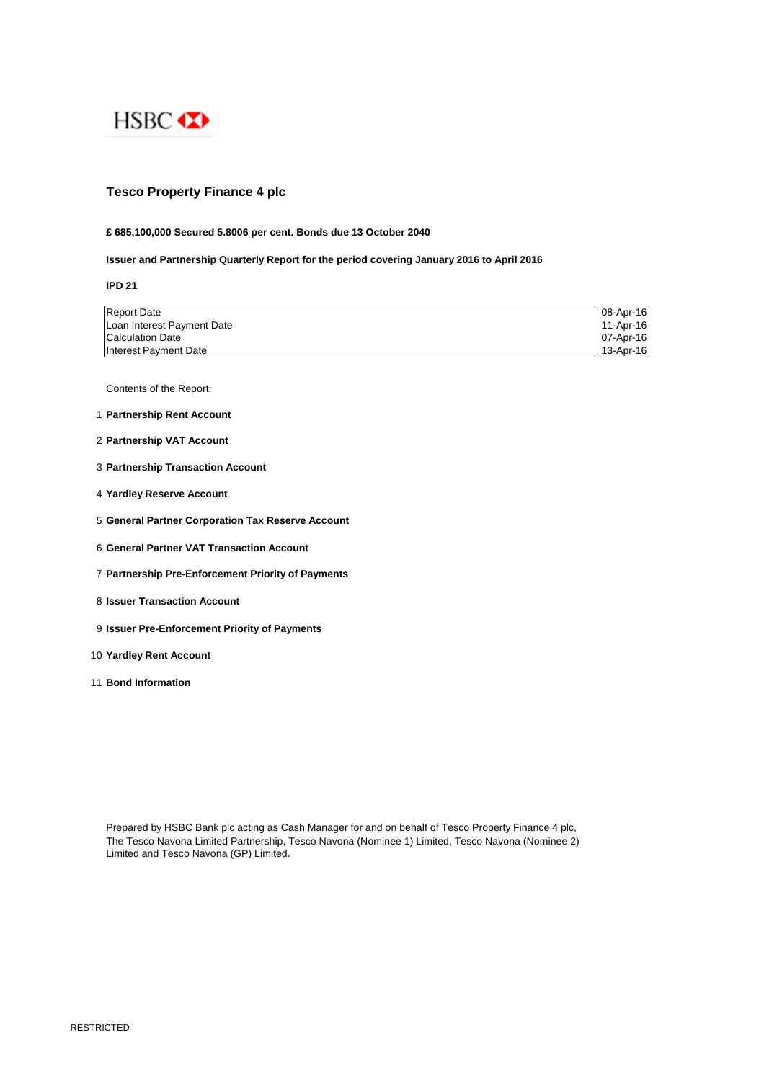

# **Tesco Property Finance 4 plc**

## **£ 685,100,000 Secured 5.8006 per cent. Bonds due 13 October 2040**

# **Issuer and Partnership Quarterly Report for the period covering January 2016 to April 2016**

**IPD 21**

| <b>Report Date</b>         | 08-Apr-16 |
|----------------------------|-----------|
| Loan Interest Payment Date | 11-Apr-16 |
| <b>Calculation Date</b>    | 07-Apr-16 |
| Interest Payment Date      | 13-Apr-16 |

Contents of the Report:

- 1 **Partnership Rent Account**
- 2 **Partnership VAT Account**
- 3 **Partnership Transaction Account**
- 4 **Yardley Reserve Account**
- 5 **General Partner Corporation Tax Reserve Account**
- 6 **General Partner VAT Transaction Account**
- 7 **Partnership Pre-Enforcement Priority of Payments**
- 8 **Issuer Transaction Account**
- 9 **Issuer Pre-Enforcement Priority of Payments**
- 10 **Yardley Rent Account**
- 11 **Bond Information**

Prepared by HSBC Bank plc acting as Cash Manager for and on behalf of Tesco Property Finance 4 plc, The Tesco Navona Limited Partnership, Tesco Navona (Nominee 1) Limited, Tesco Navona (Nominee 2) Limited and Tesco Navona (GP) Limited.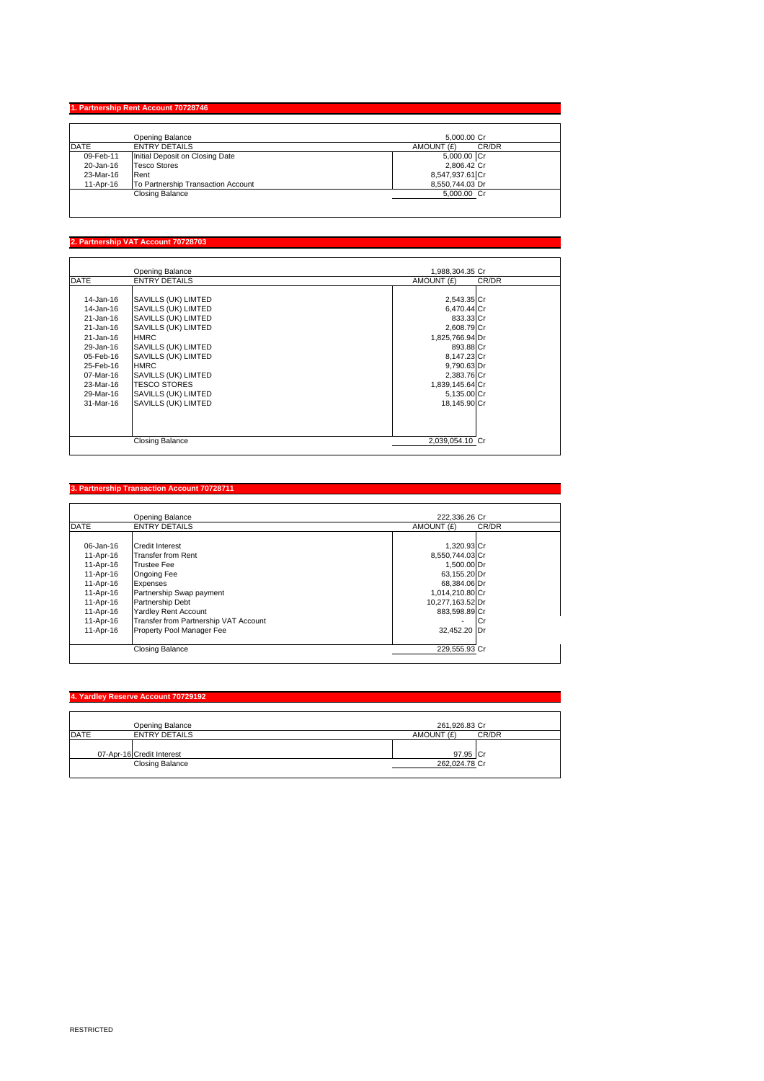## **1. Partnership Rent Account 707**

|              | Opening Balance                    | 5.000.00 Cr         |
|--------------|------------------------------------|---------------------|
| <b>IDATE</b> | <b>ENTRY DETAILS</b>               | CR/DR<br>AMOUNT (£) |
| 09-Feb-11    | Initial Deposit on Closing Date    | 5,000.00 Cr         |
| 20-Jan-16    | <b>Tesco Stores</b>                | 2,806.42 Cr         |
| 23-Mar-16    | Rent                               | 8,547,937.61 Cr     |
| 11-Apr-16    | To Partnership Transaction Account | 8.550.744.03 Dr     |
|              | Closing Balance                    | 5,000.00 Cr         |

## **2. Partnership VAT Account 70728703**

|                                                                                                                                                                | Opening Balance                                                                                                                                                                                                                                                  | 1,988,304.35 Cr                                                                                                                                                                       |  |
|----------------------------------------------------------------------------------------------------------------------------------------------------------------|------------------------------------------------------------------------------------------------------------------------------------------------------------------------------------------------------------------------------------------------------------------|---------------------------------------------------------------------------------------------------------------------------------------------------------------------------------------|--|
| <b>DATE</b>                                                                                                                                                    | <b>ENTRY DETAILS</b>                                                                                                                                                                                                                                             | AMOUNT (£)<br>CR/DR                                                                                                                                                                   |  |
| 14-Jan-16<br>14-Jan-16<br>21-Jan-16<br>21-Jan-16<br>$21 - Jan-16$<br>29-Jan-16<br>05-Feb-16<br>25-Feb-16<br>$07-Mar-16$<br>23-Mar-16<br>29-Mar-16<br>31-Mar-16 | SAVILLS (UK) LIMTED<br>SAVILLS (UK) LIMTED<br>SAVILLS (UK) LIMTED<br>SAVILLS (UK) LIMTED<br><b>HMRC</b><br>SAVILLS (UK) LIMTED<br>SAVILLS (UK) LIMTED<br><b>HMRC</b><br>SAVILLS (UK) LIMTED<br><b>TESCO STORES</b><br>SAVILLS (UK) LIMTED<br>SAVILLS (UK) LIMTED | 2,543.35 Cr<br>6,470.44 Cr<br>833.33 Cr<br>2,608.79 Cr<br>1,825,766.94 Dr<br>893.88 Cr<br>8,147.23 Cr<br>9,790.63 Dr<br>2,383.76 Cr<br>1,839,145.64 Cr<br>5,135.00 Cr<br>18.145.90 Cr |  |
|                                                                                                                                                                | <b>Closing Balance</b>                                                                                                                                                                                                                                           | 2.039.054.10 Cr                                                                                                                                                                       |  |

## **3. Partnership Transaction Account 70728711**

|                 | Opening Balance                       | 222.336.26 Cr    |       |
|-----------------|---------------------------------------|------------------|-------|
| <b>DATE</b>     | <b>ENTRY DETAILS</b>                  | AMOUNT (£)       | CR/DR |
|                 |                                       |                  |       |
| $06 - Jan - 16$ | Credit Interest                       | 1,320.93 Cr      |       |
| 11-Apr-16       | Transfer from Rent                    | 8,550,744.03 Cr  |       |
| 11-Apr-16       | <b>Trustee Fee</b>                    | 1,500.00 Dr      |       |
| 11-Apr-16       | <b>Ongoing Fee</b>                    | 63,155.20 Dr     |       |
| 11-Apr-16       | Expenses                              | 68,384.06 Dr     |       |
| 11-Apr-16       | Partnership Swap payment              | 1,014,210.80 Cr  |       |
| 11-Apr-16       | Partnership Debt                      | 10,277,163.52 Dr |       |
| 11-Apr-16       | <b>Yardley Rent Account</b>           | 883,598.89 Cr    |       |
| 11-Apr-16       | Transfer from Partnership VAT Account |                  | ΙCι   |
| 11-Apr-16       | Property Pool Manager Fee             | 32,452.20 Dr     |       |
|                 | <b>Closing Balance</b>                | 229,555.93 Cr    |       |

# **4. Yardley Reserve Account 70729192** Opening Balance 261,926.83 Cr DATE ENTRY DETAILS AMOUNT (£) CR/DR 07-Apr-16 Credit Interest Cr 97.95 Closing Balance 262,024.78 Cr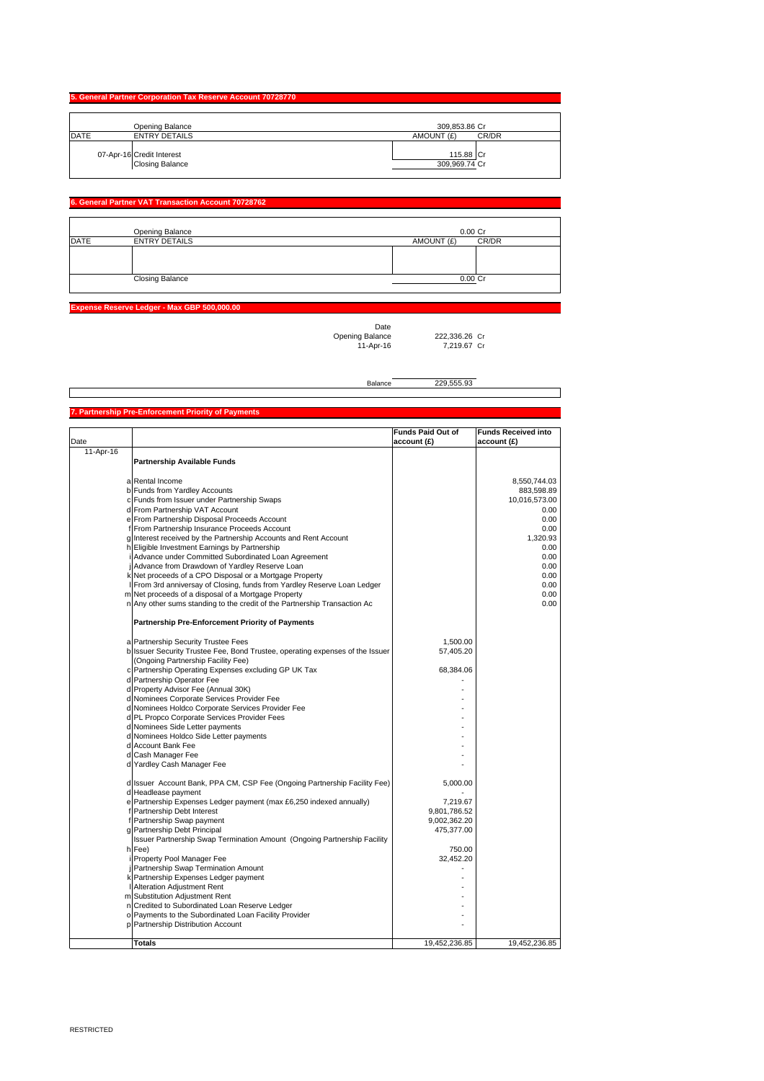|             | 5. General Partner Corporation Tax Reserve Account 70728770 |                            |
|-------------|-------------------------------------------------------------|----------------------------|
|             | Opening Balance                                             | 309.853.86 Cr              |
| <b>DATE</b> | <b>ENTRY DETAILS</b>                                        | AMOUNT (£)<br>CR/DR        |
|             | 07-Apr-16 Credit Interest<br>Closing Balance                | 115.88 Cr<br>309,969.74 Cr |

### **6. General Partner VAT Transaction Account 70728762**

|             | Opening Balance        | $0.00C$ r           |
|-------------|------------------------|---------------------|
| <b>DATE</b> | <b>ENTRY DETAILS</b>   | CR/DR<br>AMOUNT (£) |
|             |                        |                     |
|             |                        |                     |
|             |                        |                     |
|             | <b>Closing Balance</b> | $0.00$ Cr           |
|             |                        |                     |

**Expense Reserve Ledger - Max GBP 500,000.00**

Date

Opening Balance 222,336.26 Cr<br>11-Apr-16 7,219.67 Cr 1,000.120 Cr

Balance 229,555.93

**Pre-Enforcement Priority of Paym** Date **Funds Paid Out of account (£) Funds Received into account (£)** 11-Apr-16 **Partnership Available Funds** a Rental Income 8,550,744.03 b Funds from Yardley Accounts 883,598.89 c Funds from Issuer under Partnership Swaps 10,016,573.00 d From Partnership VAT Account 0.00 e From Partnership Disposal Proceeds Account 0.000 or the from Partnership Disposal Proceeds Account 0.000 or the from Partnership Disposal Proceeds Account 0.000 or the from Partnership Disposal Proceeds Account 0.000 or f From Partnership Insurance Proceeds Account 0.00 g Interest received by the Partnership Accounts and Rent Account 1,320.93 **Eligible Investment Earnings by Partnership** i Advance under Committed Subordinated Loan Agreement 0.00 Advance from Drawdown of Yardley Reserve Loan<br>
Net proceeds of a CPO Disposal or a Mortgage Property<br>
From 3rd anniversay of Closing, funds from Yardley Reserve Loan Ledger<br>
0.000 k Net proceeds of a CPO Disposal or a Mortgage Property and Ledger (Cample 1998) of the Superior of the Superi<br>I From 3rd anniversay of Closing, funds from Yardley Reserve Loan Ledger (Cample 1999) of the Superior of the Net proceeds of a disposal of a Mortgage Property **1996** Contract the Contract of a Mortgage Property **0.00** Any other sums standing to the credit of the Partnership Transaction Ac 0.00 **Partnership Pre-Enforcement Priority of Payments** a Partnership Security Trustee Fees<br>b Sourity Trustee Fee, Bond Trustee, operating expenses of the Issuer 57,405.20 b 57,405.20 Issuer Security Trustee Fee, Bond Trustee, operating expenses of the Issuer (Ongoing Partnership Facility Fee) Partnership Operating Expenses excluding GP UK Tax 68,384.06 Partnership Operator Fee Property Advisor Fee (Annual 30K) n Leonie Corporate Services Provider Fee<br>Nominees Corporate Services Provider Fee<br>Nominees Holdco Corporate Services Provider Fee Nominees Holdco Corporate Services Provider Fee PL Propco Corporate Services Provider Fees d Nominees Side Letter payments and the state of the state of the state of the state of the state of the state of the state of the state of the state of the state of the state of the state of the state of the state of the d Nominees Holdco Side Letter payments and the contract of the Letter payments of the contract of the contract of the contract of the contract of the contract of the contract of the contract of the contract of the contract Account Bank Fee Cash Manager Fee Saam manager Fee<br>Yardley Cash Manager Fee Issuer Account Bank, PPA CM, CSP Fee (Ongoing Partnership Facility Fee) 5,000.00 d Headlease payment<br>Headlease payment<br>Partnershin Expenses Ledger navment (may £6.250 indexed annually) [7.219.67] Partnership Expenses Ledger payment (max £6,250 indexed annually) 7,219.67<br>Partnership Debt Interest 9,801,786.52 Fartnership Debt Interest<br>
Partnership Debt Interest<br>
Partnership Swap payment<br>
9,002,362.20<br>
9,002,362.20 f Partnership Swap payment 9,002,362.20 g Partnership Debt Principal 475,377.00 h Issuer Partnership Swap Termination Amount (Ongoing Partnership Facility<br>|Issuer Partnership Swap Termination Amount (Ongoing Partnership Facility Fee) 750.00 i Property Pool Manager Fee 32,452.20 j Partnership Swap Termination Amount - Partnership Expenses Ledger payment Alteration Adjustment Rent Substitution Adjustment Rent Credited to Subordinated Loan Reserve Ledger Payments to the Subordinated Loan Facility Provider **Partnership Distribution Account - Account - Account - Account - Account - Account - Account - Account - Account** 

**Totals** 19,452,236.85 19,452,236.85 19,452,236.85 19,452,236.85 19,452,236.85 19,452,236.85 19,452,236.85 19,452,236.85 19,452,236.85 19,452,236.85 19,452,236.85 19,452,236.85 19,452,236.85 19,452,236.85 19,452,236.85 19,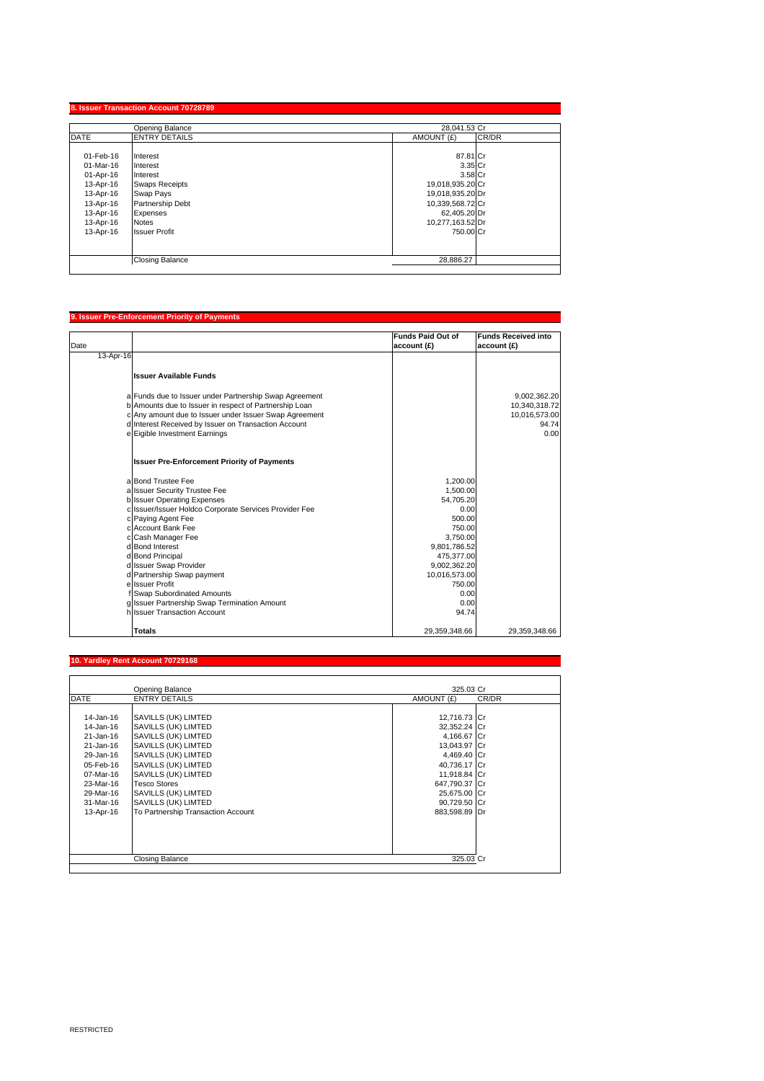|             | Opening Balance        | 28.041.53 Cr     |       |
|-------------|------------------------|------------------|-------|
| <b>DATE</b> | <b>ENTRY DETAILS</b>   | AMOUNT (£)       | CR/DR |
| 01-Feb-16   | Interest               | 87.81 Cr         |       |
| 01-Mar-16   | Interest               | 3.35 Cr          |       |
| 01-Apr-16   | Interest               | 3.58 Cr          |       |
| 13-Apr-16   | <b>Swaps Receipts</b>  | 19,018,935.20 Cr |       |
| 13-Apr-16   | Swap Pays              | 19,018,935.20 Dr |       |
| 13-Apr-16   | Partnership Debt       | 10,339,568.72 Cr |       |
| 13-Apr-16   | <b>Expenses</b>        | 62,405.20 Dr     |       |
| 13-Apr-16   | <b>Notes</b>           | 10,277,163.52 Dr |       |
| 13-Apr-16   | <b>Issuer Profit</b>   | 750.00 Cr        |       |
|             |                        |                  |       |
|             | <b>Closing Balance</b> | 28,886.27        |       |

# **9. Issuer Pre-Enforcement Priority of Payments** Date **Funds Paid Out of account (£) Funds Received into account (£)** 13-Apr-16 **Issuer Available Funds** a Funds due to Issuer under Partnership Swap Agreement<br>
b Amounts due to Issuer in respect of Partnership Loan<br>
c Any amount due to Issuer on Transaction Account<br>
d Interest Received by Issuer on Transaction Account<br>
e Eig **Issuer Pre-Enforcement Priority of Payments** a Bond Trustee Fee 1,200.00<br>a Issuer Security Trustee Fee 1,500.00 a Issuer Security Trustee Fee 1,500.00<br>
a Issuer Security Trustee Fee 1,500.00<br>
Issuer Operating Expenses 54,705.20<br>
c Paying Agent Fee 1,000.00<br>
c Account Bank Fee 500.00<br>
c Account Bank Fee 750.00 b Issuer Operating Expenses 54,705.20 c Issuer/Issuer Holdco Corporate Services Provider Fee 0.00 c Paying Agent Fee 500.00 c Account Bank Fee 750.00 Cash Manager Fee 3,750.00<br>
Bond Interest 9,801,786.52<br>
Bond Principal 475,377.00<br>
Agos 1,77.00<br>
Bond Principal 475,377.00 d Bond Interest 9,801,786.52 d Bond Principal 475,377.00 d Issuer Swap Provider (1990)<br>1990/2, Issuer Swap Provider (1990)<br>19,002,362.200 Partnership Swap payment (1990) d Partnership Swap payment 10,016,573.00<br>| Saudi Partnership Swap payment 10,016,573.00<br>| Issuer Profit 150.00 e Issuer Profit 750.00<br>
Issuer Profit 750.00<br>
Issuer Partnership Swap Termination Amount 1990.00<br>
Issuer Partnership Swap Termination Amount 1990.00 f Swap Subordinated Amounts 0.00 g Issuer Partnership Swap Termination Amount 0.00 Select Francischip Burgh Francischi Antonin Military (1994)<br>Select Transaction Account 94.74 **Totals** 29,359,348.66 29,359,348.66 29,359,348.66 29,359,348.66 29,359,348.66 29,359,348.66 29,359,348.66 29,359,348

## **Yardley Rent Account 7072916**

|             | Opening Balance                    | 325.03 Cr     |       |
|-------------|------------------------------------|---------------|-------|
| <b>DATE</b> | <b>ENTRY DETAILS</b>               | AMOUNT (£)    | CR/DR |
|             |                                    |               |       |
| 14-Jan-16   | SAVILLS (UK) LIMTED                | 12,716.73 Cr  |       |
| 14-Jan-16   | SAVILLS (UK) LIMTED                | 32,352.24 Cr  |       |
| 21-Jan-16   | SAVILLS (UK) LIMTED                | 4,166.67 Cr   |       |
| 21-Jan-16   | SAVILLS (UK) LIMTED                | 13,043.97 Cr  |       |
| 29-Jan-16   | SAVILLS (UK) LIMTED                | 4,469.40 Cr   |       |
| 05-Feb-16   | SAVILLS (UK) LIMTED                | 40,736.17 Cr  |       |
| 07-Mar-16   | SAVILLS (UK) LIMTED                | 11,918.84 Cr  |       |
| 23-Mar-16   | <b>Tesco Stores</b>                | 647,790.37 Cr |       |
| 29-Mar-16   | SAVILLS (UK) LIMTED                | 25,675.00 Cr  |       |
| 31-Mar-16   | SAVILLS (UK) LIMTED                | 90,729.50 Cr  |       |
| 13-Apr-16   | To Partnership Transaction Account | 883,598.89 Dr |       |
|             |                                    |               |       |
|             |                                    |               |       |
|             |                                    |               |       |
|             |                                    |               |       |
|             | Closing Balance                    | 325.03 Cr     |       |